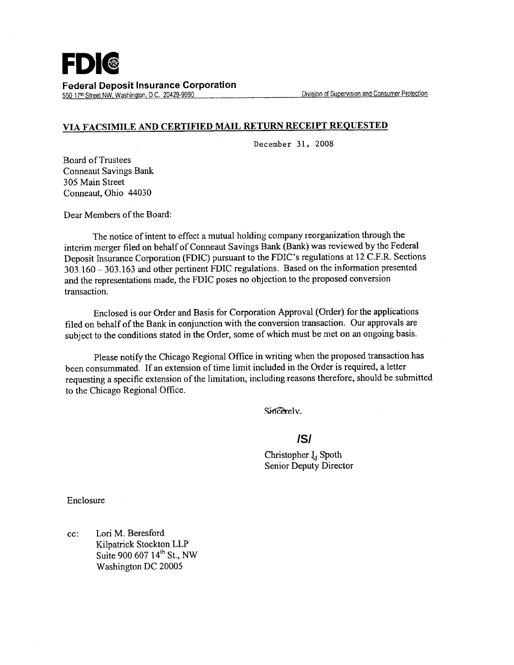

550 17<sup>th</sup> Street NW, Washington, D.C. 20429-9990

## **VIA FACSIMILE AND CERTIFIED MAIL RETURN RECEIPT REQUESTED**

December 31, 2008

Board of Trustees Conneaut Savings Bank 305 Main Street Conneaut, Ohio 44030

Dear Members of the Board:

The notice of intent to effect a mutual holding company reorganization through the interim merger filed on behalf of Conneaut Savings Bank (Bank) was reviewed by the Federal Deposit Insurance Corporation (FDIC) pursuant to the FDIC's regulations at 12 C.F.R. Sections 303.160 - 303.163 and other pertinent FDIC regulations. Based on the information presented and the representations made, the FDIC poses no objection to the proposed conversion transaction.

Enclosed is our Order and Basis for Corporation Approval (Order) for the applications filed on behalf of the Bank in conjunction with the conversion transaction. Our approvals are subject to the conditions stated in the Order, some of which must be met on an ongoing basis.

Please notify the Chicago Regional Office in writing when the proposed transaction has been consummated. If an extension of time limit included in the Order is required, a letter requesting a specific extension of the limitation, including reasons therefore, should be submitted to the Chicago Regional Office.

Sincerely.

## **/S/**

Christopher  $I_i$  Spoth Senior Deputy Director

Enclosure

cc: Lori M. Beresford Kilpatrick Stockton LLP Suite 900 607 14<sup>th</sup> St., NW Washington DC 20005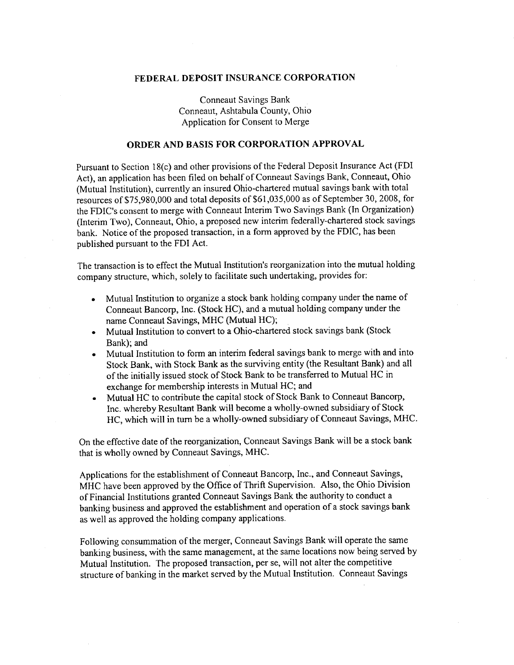## **FEDERAL DEPOSIT INSURANCE CORPORATION**

Conneaut Savings Bank Conneaut, Ashtabula County, Ohio Application for Consent to Merge

## **ORDER AND BASIS FOR CORPORATION APPROVAL**

Pursuant to Section 18(c) and other provisions of the Federal Deposit Insurance Act (FDI Act), an application has been filed on behalf of Conneaut Savings Bank, Conneaut, Ohio (Mutual Institution), currently an insured Ohio-chartered mutual savings bank with total resources of \$75,980,000 and total deposits of \$61,035,000 as of September 30, 2008, for the FDIC's consent to merge with Conneaut Interim Two Savings Bank (In Organization) (Interim Two), Conneaut, Ohio, a proposed new interim federally-chartered stock savings bank. Notice of the proposed transaction, in a form approved by the FDIC, has been published pursuant to the FDI Act.

The transaction is to effect the Mutual Institution's reorganization into the mutual holding company structure, which, solely to facilitate such undertaking, provides for:

- Mutual Institution to organize a stock bank holding company under the name of Conneaut Bancorp, Inc. (Stock HC), and a mutual holding company under the name Conneaut Savings, MHC (Mutual HC);
- Mutual Institution to convert to a Ohio-chartered stock savings bank (Stock Bank); and
- Mutual Institution to form an interim federal savings bank to merge with and into Stock Bank, with Stock Bank as the surviving entity (the Resultant Bank) and all of the initially issued stock of Stock Bank to be transferred to Mutual HC in exchange for membership interests in Mutual HC; and
- Mutual HC to contribute the capital stock of Stock Bank to Conneaut Bancorp, Inc. whereby Resultant Bank will become a wholly-owned subsidiary of Stock HC, which will in turn be a wholly-owned subsidiary of Conneaut Savings, MHC.

On the effective date of the reorganization, Conneaut Savings Bank will be a stock bank that is wholly owned by Conneaut Savings, MHC.

Applications for the establishment of Conneaut Bancorp, Inc., and Conneaut Savings, MHC have been approved by the Office of Thrift Supervision. Also, the Ohio Division of Financial Institutions granted Conneaut Savings Bank the authority to conduct a banking business and approved the establishment and operation of a stock savings bank as well as approved the holding company applications.

Following consummation of the merger, Conneaut Savings Bank will operate the same banking business, with the same management, at the same locations now being served by Mutual Institution. The proposed transaction, per se, will not alter the competitive structure of banking in the market served by the Mutual Institution. Conneaut Savings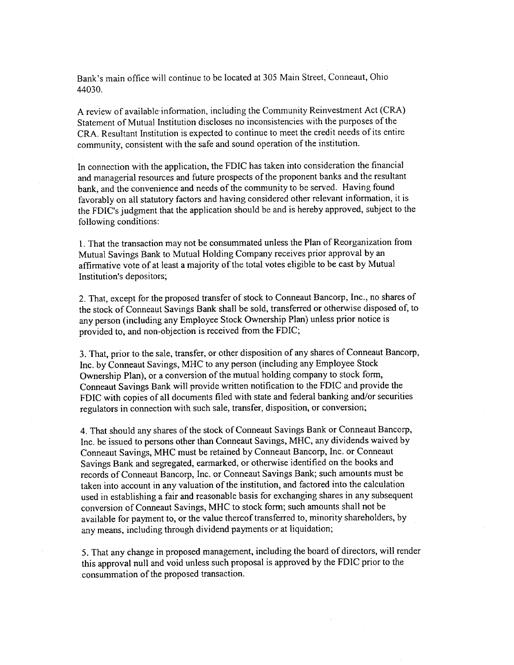Bank's main office will continue to be located at 305 Main Street, Conneaut, Ohio 44030.

A review of available information, including the Community Reinvestment Act (CRA) Statement of Mutual Institution discloses no inconsistencies with the purposes of the CRA. Resultant Institution is expected to continue to meet the credit needs of its entire community, consistent with the safe and sound operation of the institution.

In connection with the application, the FDIC has taken into consideration the financial and managerial resources and future prospects of the proponent banks and the resultant bank, and the convenience and needs of the community to be served. Having found favorably on all statutory factors and having considered other relevant information, it is the FDIC's judgment that the application should be and is hereby approved, subject to the following conditions:

1. That the transaction may not be consummated unless the Plan of Reorganization from Mutual Savings Bank to Mutual Holding Company receives prior approval by an affirmative vote of at least a majority of the total votes eligible to be cast by Mutual Institution's depositors;

2. That, except for the proposed transfer of stock to Conneaut Bancorp, Inc., no shares of the stock of Conneaut Savings Bank shall be sold, transferred or otherwise disposed of, to any person (including any Employee Stock Ownership Plan) unless prior notice is provided to, and non-objection is received from the FDIC;

3. That, prior to the sale, transfer, or other disposition of any shares of Conneaut Bancorp, Inc. by Conneaut Savings, MHC to any person (including any Employee Stock Ownership Plan), or a conversion of the mutual holding company to stock form, Conneaut Savings Bank will provide written notification to the FDIC and provide the FDIC with copies of all documents filed with state and federal banking and/or securities regulators in connection with such sale, transfer, disposition, or conversion;

4. That should any shares of the stock of Conneaut Savings Bank or Conneaut Bancorp, Inc. be issued to persons other than Conneaut Savings, MHC, any dividends waived by Conneaut Savings, MHC must be retained by Conneaut Bancorp, Inc. or Conneaut Savings Bank and segregated, earmarked, or otherwise identified on the books and records of Conneaut Bancorp, Inc. or Conneaut Savings Bank; such amounts must be taken into account in any valuation of the institution, and factored into the calculation used in establishing a fair and reasonable basis for exchanging shares in any subsequent conversion of Conneaut Savings, MHC to stock form; such amounts shall not be available for payment to, or the value thereof transferred to, minority shareholders, by any means, including through dividend payments or at liquidation;

5. That any change in proposed management, including the board of directors, will render this approval null and void unless such proposal is approved by the FDIC prior to the consummation of the proposed transaction.